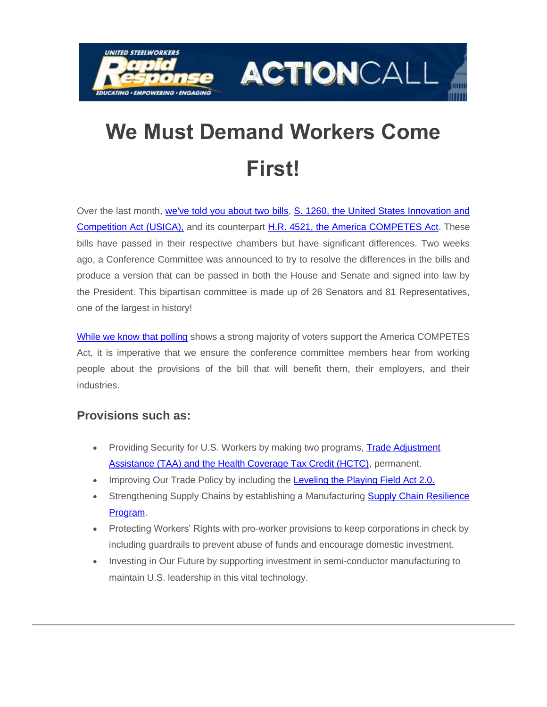



# **We Must Demand Workers Come First!**

Over the last month, [we've told you about two bills,](https://nam12.safelinks.protection.outlook.com/?url=https%3A%2F%2Fclick.actionnetwork.org%2Fss%2Fc%2FMqag7sW8TIW-nixyBdulQhrcx_KrpE52P5iAgBBhT5t2N2TMjpzw3Wfk4Wbcyvpo5uqkvXmdKl70V5YxIVYQJ8yCHQmpGPf3eVbMj4ZF7ZpjmzkIZubLLdCChaQ_4of1nycaEcV7jMkGsoPkU5ZEqKjlezCz4n2zcPGQpBp2A_got3qXYOV3b8SaYBabdZqW4V4H5QMpXOE13YFWS56RPkEvhZ5YBgZpPlgdKDfJCVuMOCMFmStB9CTVVpfaFQhcbz6JxnURWFyeuyzFWcwQS1n0KEMh_kIxnQzZQs6WVe1P_5QiB7vir_vIamnb4RQw4seB1IBVoPBKigxyxBZNppp8XODFf8-QJ6sJevpoM0Aj4nfs8OiB9_AO9PIzqjuhc6G3OA6dGmYENiARTQk2fYwajC57w4u3p8WbyeSlqUXp3cZhxFA6ljtRGGCtmJG-oACkqn1PD9inx41ASH9G6nUbwkyeh0HqAiMvat0gJwd0OaGomX7HGt7RNJLV4n4te9tS0NxPRmBn4Cfd9S57Wu5txiCOVxs5wUWpqCA19di2W1NPfClOHQsH8qP_L_6E%2F3le%2F48FVzCOWSVKBS9-1Nz3lfw%2Fh0%2FY5pHEWmajsjdOvBb9mXsRfTjr5BHfY_4Nepq6ay5EpU&data=05%7C01%7C%7Cde35ee7b46fd43d0491a08da239f5aff%7C84df9e7fe9f640afb435aaaaaaaaaaaa%7C1%7C0%7C637861464577971024%7CUnknown%7CTWFpbGZsb3d8eyJWIjoiMC4wLjAwMDAiLCJQIjoiV2luMzIiLCJBTiI6Ik1haWwiLCJXVCI6Mn0%3D%7C3000%7C%7C%7C&sdata=bvEF6wEXR%2FV58erS4IgAq%2FarFzQkh7Vu4oARlpS35%2BI%3D&reserved=0) S. 1260, the United States Innovation and [Competition Act \(USICA\),](https://nam12.safelinks.protection.outlook.com/?url=https%3A%2F%2Fclick.actionnetwork.org%2Fss%2Fc%2FatcYNHk4Eh2YdGnwBh-YDD5m8IrwON7t-HBuhJ_KEW3AFcJ6iR8tF17GUmejAOB9yGz6zgSJeQkY5UBTFx9CNiGFpGY_flmk-hjCXLqX1Wk78wfDBvl0of8t-L81l0ilxrA8MUjrafc0Z8p5YllZ_YX1-eLPioEbCoIjqGhU4pxnroBNYxoR5Kk1nZB4yeLCmJZAka9dgSEd0tQTOvHo6c7RahzY6A1CYYzxitausy3es8XtG1yluX9HduZhmi0e3MN4bNy9Zn03kulw-3GPorh9LmJsquYm39lPvNx1eyF8Rmn_Y73l94wO12tEecNZAXFhnfinLsTIcMwfIc1zfDxiyEN_BwolDqM0iQdD8Cb4EzJorGtK-O6Qo7b5Ud08UfgzuufETJNMAqUzhNdbbhLizeLz3ylyoLVLQwhyQzGnNfvyx5jyZNnQdk70hfvANlFuCOqbEJaO0EvITpPFdsR72R0uxsvKoFKLkoYn4zUHqtm1I35VjjKwZHQELcL0%2F3le%2F48FVzCOWSVKBS9-1Nz3lfw%2Fh1%2Fed4mb-Nv20aj-0hcM49HuiKxfvdgjMU6FajEBterIQ8&data=05%7C01%7C%7Cde35ee7b46fd43d0491a08da239f5aff%7C84df9e7fe9f640afb435aaaaaaaaaaaa%7C1%7C0%7C637861464577971024%7CUnknown%7CTWFpbGZsb3d8eyJWIjoiMC4wLjAwMDAiLCJQIjoiV2luMzIiLCJBTiI6Ik1haWwiLCJXVCI6Mn0%3D%7C3000%7C%7C%7C&sdata=6nmWl7d7LS82MRTT%2BfLP5AVDOJZM7%2BqwnNhNhMwARg0%3D&reserved=0) and its counterpart [H.R. 4521, the America COMPETES Act.](https://nam12.safelinks.protection.outlook.com/?url=https%3A%2F%2Fclick.actionnetwork.org%2Fss%2Fc%2FatcYNHk4Eh2YdGnwBh-YDD5m8IrwON7t-HBuhJ_KEW3AFcJ6iR8tF17GUmejAOB9n2UxElA0oPVtyfXiSF7Oi8651AjuPz-lUbl_BFwkLzCjestZ7VpHuhU1Hte9k4zZAa8hVKfDvNoAceFd-e-XD7z6gb6UGrg-l3EczTsI1Fw31rhAFaEkwjPPELp2gkJh1YuQEEguSImYSZ7HVu9b1q3ZSiLYKDs6SQCU8XamUxVUpjX8Pq8vjHu9qZF136Ov39sBzayf7wbEqrPZ1o7rtPJP-1dColq2RtdaAqUbNQqWT95YmfpluopsNUeJbLGqi9jEfbxsj7fXtynF9U2L6A%2F3le%2F48FVzCOWSVKBS9-1Nz3lfw%2Fh2%2FiThU5vUSku7LRtA7Pou-d4yLRnGmBT1w7WTnKKFcv2Q&data=05%7C01%7C%7Cde35ee7b46fd43d0491a08da239f5aff%7C84df9e7fe9f640afb435aaaaaaaaaaaa%7C1%7C0%7C637861464577971024%7CUnknown%7CTWFpbGZsb3d8eyJWIjoiMC4wLjAwMDAiLCJQIjoiV2luMzIiLCJBTiI6Ik1haWwiLCJXVCI6Mn0%3D%7C3000%7C%7C%7C&sdata=2%2BK9yPac5PlVVG7Db0bYP3M18CymYd5v3OlyLAYb6yo%3D&reserved=0) These bills have passed in their respective chambers but have significant differences. Two weeks ago, a Conference Committee was announced to try to resolve the differences in the bills and produce a version that can be passed in both the House and Senate and signed into law by the President. This bipartisan committee is made up of 26 Senators and 81 Representatives, one of the largest in history!

[While we know that polling](https://nam12.safelinks.protection.outlook.com/?url=https%3A%2F%2Fclick.actionnetwork.org%2Fss%2Fc%2FatcYNHk4Eh2YdGnwBh-YDL6642zMItba3wM69pDIv5YXDCfkCkHVf0nPkVR_Ji2D1OZvJ0lpF613z2RgLm0vYdEr3fEhGU6OKLK2SYIFAYHjEpQctV2Bn8CLy9JHeymP5H3U8M0rjcH06yxb6M-85FvCpFiO6evrfosuozd4Q41YRYjtUyJR23-7_SAbP91nP3rBumbcN0QWkWM6JvtUzKGbWuzrZqgbsglUkP2qOkmSnZVHn8tPDlYFFZr7yUiDkBt01Nw8Ey4dXTeIt9Iljxu-IGozhtlov1752kZsXF5-EugQ_sA2FnWYe_vnOZfbYulWbYMxt3efLd-225ekbxGrDBNq7-wfCLdOpOHMKNU%2F3le%2F48FVzCOWSVKBS9-1Nz3lfw%2Fh3%2FyZDo6Lho4Rjsi_qlC22hrsCjYyC9LtvPyXfzx9--VhU&data=05%7C01%7C%7Cde35ee7b46fd43d0491a08da239f5aff%7C84df9e7fe9f640afb435aaaaaaaaaaaa%7C1%7C0%7C637861464577971024%7CUnknown%7CTWFpbGZsb3d8eyJWIjoiMC4wLjAwMDAiLCJQIjoiV2luMzIiLCJBTiI6Ik1haWwiLCJXVCI6Mn0%3D%7C3000%7C%7C%7C&sdata=SOVVr%2FUVwfsQEF4onlAbIjkjs%2FNWtRW6Y5wgQo76CJk%3D&reserved=0) shows a strong majority of voters support the America COMPETES Act, it is imperative that we ensure the conference committee members hear from working people about the provisions of the bill that will benefit them, their employers, and their **industries** 

#### **Provisions such as:**

- Providing Security for U.S. Workers by making two programs, Trade Adjustment [Assistance \(TAA\) and the Health Coverage Tax Credit \(HCTC\),](https://nam12.safelinks.protection.outlook.com/?url=https%3A%2F%2Fclick.actionnetwork.org%2Fss%2Fc%2FMqag7sW8TIW-nixyBdulQhrcx_KrpE52P5iAgBBhT5t2N2TMjpzw3Wfk4Wbcyvpo5uqkvXmdKl70V5YxIVYQJwn-iPdM-pOA1v5joO2R9FqLaDdYI7VDl2ylgBV6kR_EztABJuGhVA2OdU8FjX4hfQypmJDTwQDyI-9St4E-QR4R0Mt_0PEvBfSi0xF_29N7aODg4Ps9RtZJBm3I1J8FPyjoi3qpw39W-Cpn8tQ9ic-sgvEs3-_AQlCwPHILeGX14Cwle6pxBjIYuIM3jrDOFnQDC_iPFQ7bjQyaJyW5an7gstdOp1Fyfc69RaboSgkBKcR-cXOJ-oJrjRo9QZOvwXxLKqiVZuioyEd03kSGNYza3ZgSrShQ92Gkbs20c4IQfkYS-G_lxU25u6BEetcx5w%2F3le%2F48FVzCOWSVKBS9-1Nz3lfw%2Fh4%2FoQTnztpNXq-eRpk2csvDKznSruU1FFjIrdkBo_nzuGM&data=05%7C01%7C%7Cde35ee7b46fd43d0491a08da239f5aff%7C84df9e7fe9f640afb435aaaaaaaaaaaa%7C1%7C0%7C637861464577971024%7CUnknown%7CTWFpbGZsb3d8eyJWIjoiMC4wLjAwMDAiLCJQIjoiV2luMzIiLCJBTiI6Ik1haWwiLCJXVCI6Mn0%3D%7C3000%7C%7C%7C&sdata=ulx5yJ1OsHefRyzq2EfCvr6AM5pf245QqRv07dOQCpI%3D&reserved=0) permanent.
- Improving Our Trade Policy by including the [Leveling the Playing Field Act 2.0.](https://nam12.safelinks.protection.outlook.com/?url=https%3A%2F%2Fclick.actionnetwork.org%2Fss%2Fc%2FMqag7sW8TIW-nixyBdulQhrcx_KrpE52P5iAgBBhT5t2N2TMjpzw3Wfk4Wbcyvpo5uqkvXmdKl70V5YxIVYQJ4EXizACuhvCqTlZKITO6hRPRRtGoTHQF_yDMqjh2pbDuIlZXdgQNSUT6Osyng4dPdmmfywN9rMEVHmWf8l62T4EbJyXs5qT49sL5evhLdwE4u8LCx_Leil38akgYRi4AuiVlPOJunf5DNRWXzTBJv0hhMYqrJTnY9Ea48cjJjgZR_ON0zAhN-aCuWm_ud-Upo9dRgjeWeNMxnuqQT1u6MtXMa-UZo6OskaEl80yZdaqryWg_Ree27kelE7pMeArLE6az4KxYENw3WUruVMGTvMhwcj6g6DIgyWnTqi9NWUkJqKPJiU6MDZ4rdXrLy3d780qbMetmUZcXIFY74VISG0%2F3le%2F48FVzCOWSVKBS9-1Nz3lfw%2Fh5%2Fx87tyBh1lsvXveAEV-ENAWoduJylhi7RhH2bWoWrUGk&data=05%7C01%7C%7Cde35ee7b46fd43d0491a08da239f5aff%7C84df9e7fe9f640afb435aaaaaaaaaaaa%7C1%7C0%7C637861464577971024%7CUnknown%7CTWFpbGZsb3d8eyJWIjoiMC4wLjAwMDAiLCJQIjoiV2luMzIiLCJBTiI6Ik1haWwiLCJXVCI6Mn0%3D%7C3000%7C%7C%7C&sdata=ow%2B4M6wReEfnqHNqJ301WQurOi94TSulpeBpVIQ89ZI%3D&reserved=0)
- Strengthening Supply Chains by establishing a Manufacturing Supply Chain Resilience [Program.](https://nam12.safelinks.protection.outlook.com/?url=https%3A%2F%2Fclick.actionnetwork.org%2Fss%2Fc%2FMqag7sW8TIW-nixyBdulQhrcx_KrpE52P5iAgBBhT5t2N2TMjpzw3Wfk4Wbcyvpo5uqkvXmdKl70V5YxIVYQJ596Jy8Lk3GS9VXZkQJULpAnS2ClcMYGbv0zGkiM0wfSetNT8UN2eNGznw5aYNYDIq0WLrdWxxs6C_o6ZInKH17jnlIiDthOV7kX5EskC-Ie9SCC7RHuYXh8bWulrr8R1pt-ZIdEokpcgnYY1PxYXlwsbNB8rnOOM3qw-vKyUgluS6-TdC6hOjAnxPr_ZqWpQjIJZ52TBB73oA89lnF7kpaPWRmUSORK6SWBcXDharDWA7CXYewx6OWjnQmYorjIYBc1JQ3XazwLo1quty64di6bS_IiugFg2Y2dr0VyuqiLxvV4rAn120-ypctifbV6elmfXWUF3757t6pZfgIFkiY%2F3le%2F48FVzCOWSVKBS9-1Nz3lfw%2Fh7%2FIaentjppw70CMYvMzWbHuC6omd9ilOHZE-yj_C_wmEQ&data=05%7C01%7C%7Cde35ee7b46fd43d0491a08da239f5aff%7C84df9e7fe9f640afb435aaaaaaaaaaaa%7C1%7C0%7C637861464578127250%7CUnknown%7CTWFpbGZsb3d8eyJWIjoiMC4wLjAwMDAiLCJQIjoiV2luMzIiLCJBTiI6Ik1haWwiLCJXVCI6Mn0%3D%7C3000%7C%7C%7C&sdata=tHQRH%2BHmxjd43Zp5538hnKfcFc1roZv8nqw5nMWgbsg%3D&reserved=0)
- Protecting Workers' Rights with pro-worker provisions to keep corporations in check by including guardrails to prevent abuse of funds and encourage domestic investment.
- Investing in Our Future by supporting investment in semi-conductor manufacturing to maintain U.S. leadership in this vital technology.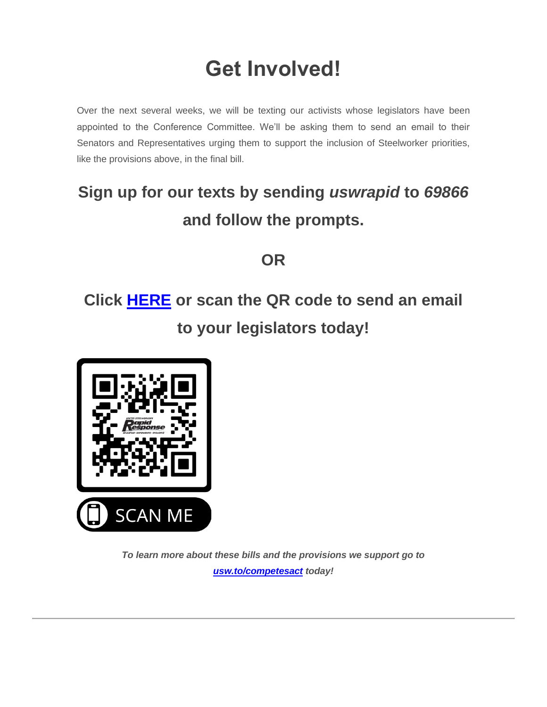# **Get Involved!**

Over the next several weeks, we will be texting our activists whose legislators have been appointed to the Conference Committee. We'll be asking them to send an email to their Senators and Representatives urging them to support the inclusion of Steelworker priorities, like the provisions above, in the final bill.

### **Sign up for our texts by sending** *uswrapid* **to** *69866* **and follow the prompts.**

**OR**

## **Click [HERE](https://nam12.safelinks.protection.outlook.com/?url=https%3A%2F%2Fclick.actionnetwork.org%2Fss%2Fc%2FP8Elou2Rvc0qoMPEUZrMXcOpy_XqN4R2ZGjoK-5zZnlOOuQ2xZ10H7aZX-A_jue0pWnQemZtZY6aOUC0BpsTgBoDewYs5FWu1zYHy5UzZr0ByI-qy7qLSBgyXrR3w-Kby-l2VUWLr0NOxfqwmco5N1yi3Rxlyz6eZDYzHxheG5zCpLg5PXwZ9JrbkTeHEt-_0XLSdQpc4DshBDPfwxu7H0c6lq2Vg7PWxlFoeHp2vxkXrxQoJfiXvVeq1GrxlSY0ZQB0bTXtWnB0NHjdJ7KhcNJPPNtVfK0L7Xpr4IdNXck%2F3le%2F48FVzCOWSVKBS9-1Nz3lfw%2Fh8%2FUyHxyE4f_fYTOGtc7BZj14B8P7S8--Jrvhv_30MjQ_4&data=05%7C01%7C%7Cde35ee7b46fd43d0491a08da239f5aff%7C84df9e7fe9f640afb435aaaaaaaaaaaa%7C1%7C0%7C637861464578127250%7CUnknown%7CTWFpbGZsb3d8eyJWIjoiMC4wLjAwMDAiLCJQIjoiV2luMzIiLCJBTiI6Ik1haWwiLCJXVCI6Mn0%3D%7C3000%7C%7C%7C&sdata=JoI6QV%2B448DAvjKSB%2Bi%2F9aphLmOV%2Fv5qGs91G6Fq7Gs%3D&reserved=0) or scan the QR code to send an email to your legislators today!**



*To learn more about these bills and the provisions we support go to [usw.to/competesact](https://nam12.safelinks.protection.outlook.com/?url=https%3A%2F%2Fclick.actionnetwork.org%2Fss%2Fc%2F54y7hWq9HmNJ46bujjoAEeFWjjq0WWpa8epnxR6f7Qs2oReylElVySeGb67DrZ1nkODKWs-JUZU7N69VLUR2i9qPV5-Dr2VUFSaZLULZLo6dEt-MrSce5JjgcQuam9bf8xkU6tYepHDNZJlgn_z4TF8ajG_L_hQ4-EcfCbtD_6saC459K_YZC1y3T_IL5614kGo9rD2E3UySIQlodkb_H9IMs6KG4XU0bIQ7C5Q456lkYsZMdG5ITp4Hv6D3IbHFaO4Tk6JEQPutw7exOv8giA%2F3le%2F48FVzCOWSVKBS9-1Nz3lfw%2Fh9%2F2o7k1BzmsnMegxqh84WUazuH2-rlYiNbjZjBkZvnOuQ&data=05%7C01%7C%7Cde35ee7b46fd43d0491a08da239f5aff%7C84df9e7fe9f640afb435aaaaaaaaaaaa%7C1%7C0%7C637861464578127250%7CUnknown%7CTWFpbGZsb3d8eyJWIjoiMC4wLjAwMDAiLCJQIjoiV2luMzIiLCJBTiI6Ik1haWwiLCJXVCI6Mn0%3D%7C3000%7C%7C%7C&sdata=dlEM%2FdP0F8jPQelBID4sydb%2Bcvo8K8KkgITXLFKw4vk%3D&reserved=0) today!*